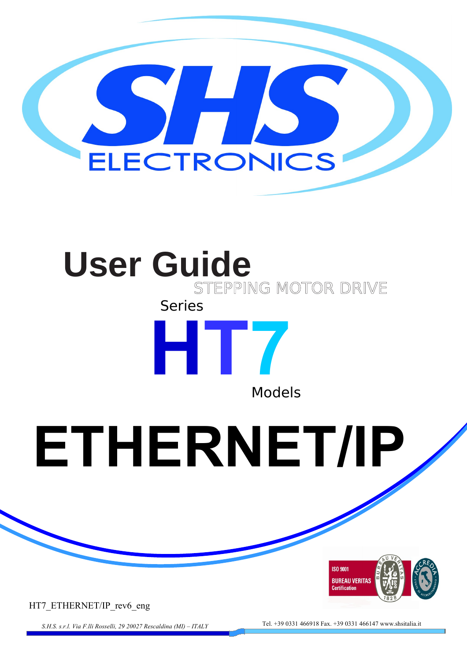

# **User Guide** STEPPING MOTOR DRIVE Series



**ETHERNET/IP**



HT7\_ETHERNET/IP\_rev6\_eng

*S.H.S. s.r.l. Via F.lli Rosselli, 29 20027 Rescaldina (MI) – ITALY* Tel. +39 0331 466918 Fax. +39 0331 466147 www.shsitalia.it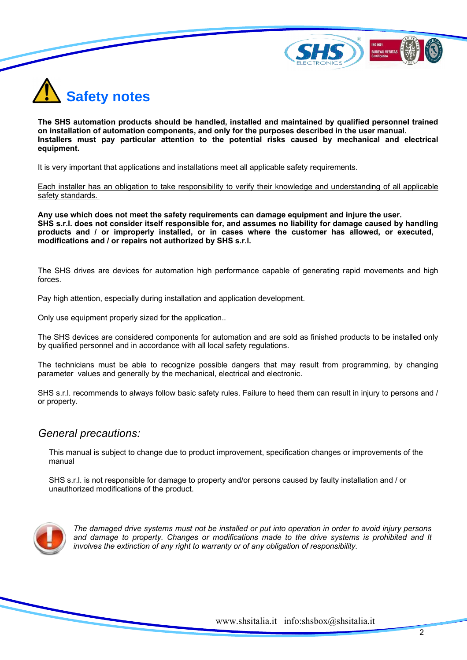



**The SHS automation products should be handled, installed and maintained by qualified personnel trained on installation of automation components, and only for the purposes described in the user manual. Installers must pay particular attention to the potential risks caused by mechanical and electrical equipment.**

It is very important that applications and installations meet all applicable safety requirements.

Each installer has an obligation to take responsibility to verify their knowledge and understanding of all applicable safety standards.

**Any use which does not meet the safety requirements can damage equipment and injure the user. SHS s.r.l. does not consider itself responsible for, and assumes no liability for damage caused by handling products and / or improperly installed, or in cases where the customer has allowed, or executed, modifications and / or repairs not authorized by SHS s.r.l.**

The SHS drives are devices for automation high performance capable of generating rapid movements and high forces.

Pay high attention, especially during installation and application development.

Only use equipment properly sized for the application..

The SHS devices are considered components for automation and are sold as finished products to be installed only by qualified personnel and in accordance with all local safety regulations.

The technicians must be able to recognize possible dangers that may result from programming, by changing parameter values and generally by the mechanical, electrical and electronic.

SHS s.r.l. recommends to always follow basic safety rules. Failure to heed them can result in injury to persons and / or property.

### *General precautions:*

This manual is subject to change due to product improvement, specification changes or improvements of the manual

SHS s.r.l. is not responsible for damage to property and/or persons caused by faulty installation and / or unauthorized modifications of the product.



*The damaged drive systems must not be installed or put into operation in order to avoid injury persons and damage to property. Changes or modifications made to the drive systems is prohibited and It involves the extinction of any right to warranty or of any obligation of responsibility.*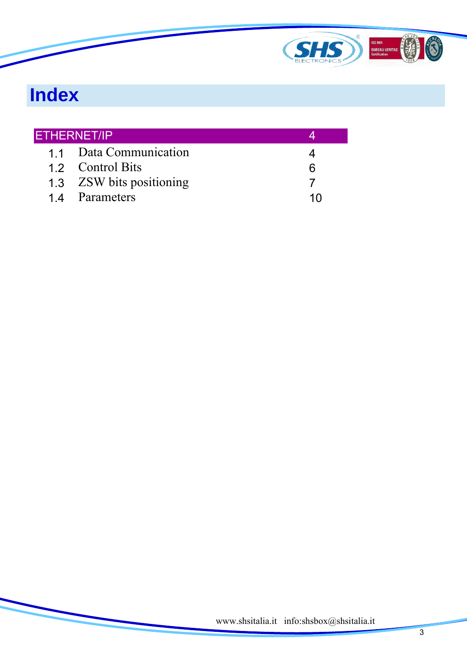

# **Index**

| <b>ETHERNET/IP</b> |                          |   |
|--------------------|--------------------------|---|
|                    | 1.1 Data Communication   |   |
|                    | 1.2 Control Bits         | ห |
|                    | 1.3 ZSW bits positioning |   |
|                    | 14 Parameters            |   |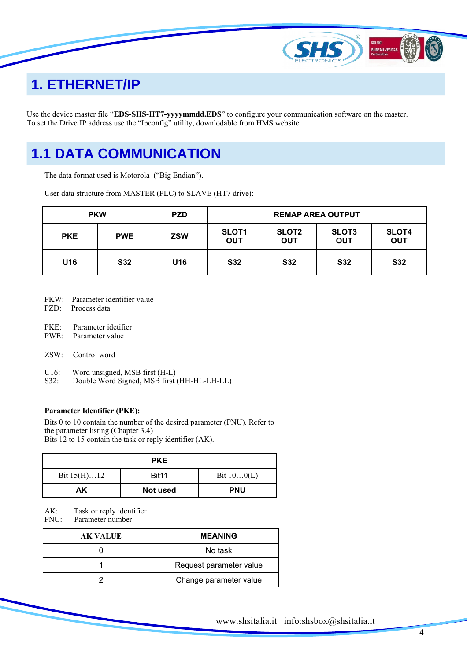

### **1. ETHERNET/IP**

Use the device master file "**EDS-SHS-HT7-yyyymmdd.EDS**" to configure your communication software on the master. To set the Drive IP address use the "Ipconfig" utility, downlodable from HMS website.

### **1.1 DATA COMMUNICATION**

The data format used is Motorola ("Big Endian").

User data structure from MASTER (PLC) to SLAVE (HT7 drive):

| <b>PKW</b> |            | <b>PZD</b>      | <b>REMAP AREA OUTPUT</b>   |                            |                            |                            |
|------------|------------|-----------------|----------------------------|----------------------------|----------------------------|----------------------------|
| <b>PKE</b> | <b>PWE</b> | <b>ZSW</b>      | <b>SLOT1</b><br><b>OUT</b> | <b>SLOT2</b><br><b>OUT</b> | <b>SLOT3</b><br><b>OUT</b> | <b>SLOT4</b><br><b>OUT</b> |
| U16        | <b>S32</b> | U <sub>16</sub> | <b>S32</b>                 | <b>S32</b>                 | <b>S32</b>                 | <b>S32</b>                 |

- PKW: Parameter identifier value
- PZD: Process data
- PKE: Parameter idetifier
- PWE: Parameter value
- ZSW: Control word
- U16: Word unsigned, MSB first (H-L)<br>S32: Double Word Signed, MSB first
- Double Word Signed, MSB first (HH-HL-LH-LL)

#### **Parameter Identifier (PKE):**

Bits 0 to 10 contain the number of the desired parameter (PNU). Refer to the parameter listing (Chapter 3.4) Bits 12 to 15 contain the task or reply identifier (AK).

| <b>PKE</b>    |                   |              |  |
|---------------|-------------------|--------------|--|
| Bit $15(H)12$ | Bit <sub>11</sub> | Bit $100(L)$ |  |
| AK.           | Not used          | <b>PNU</b>   |  |

AK: Task or reply identifier<br>PNU: Parameter number

Parameter number

| <b>AK VALUE</b> | <b>MEANING</b>          |
|-----------------|-------------------------|
|                 | No task                 |
|                 | Request parameter value |
|                 | Change parameter value  |

4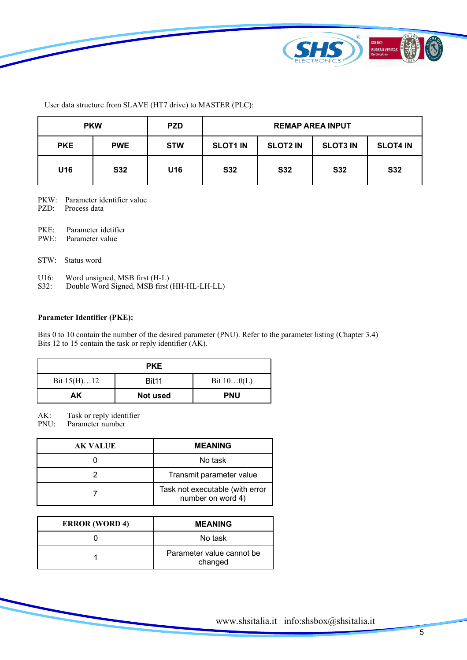

User data structure from SLAVE (HT7 drive) to MASTER (PLC):

| <b>PKW</b> |            | <b>PZD</b> |                 | <b>REMAP AREA INPUT</b> |                 |                 |
|------------|------------|------------|-----------------|-------------------------|-----------------|-----------------|
| <b>PKE</b> | <b>PWE</b> | <b>STW</b> | <b>SLOT1 IN</b> | <b>SLOT2 IN</b>         | <b>SLOT3 IN</b> | <b>SLOT4 IN</b> |
| U16        | <b>S32</b> | U16        | <b>S32</b>      | <b>S32</b>              | <b>S32</b>      | <b>S32</b>      |

- PKW: Parameter identifier value
- PZD: Process data
- PKE: Parameter idetifier
- PWE: Parameter value
- STW: Status word
- U16: Word unsigned, MSB first (H-L)
- S32: Double Word Signed, MSB first (HH-HL-LH-LL)

#### **Parameter Identifier (PKE):**

Bits 0 to 10 contain the number of the desired parameter (PNU). Refer to the parameter listing (Chapter 3.4) Bits 12 to 15 contain the task or reply identifier (AK).

|               | <b>PKE</b>        |              |
|---------------|-------------------|--------------|
| Bit $15(H)12$ | Bit <sub>11</sub> | Bit $100(L)$ |
| AΚ            | Not used          | <b>PNU</b>   |

AK: Task or reply identifier

PNU: Parameter number

| AK VALUE | <b>MEANING</b>                                       |
|----------|------------------------------------------------------|
|          | No task                                              |
|          | Transmit parameter value                             |
|          | Task not executable (with error<br>number on word 4) |

| <b>ERROR</b> (WORD 4) | <b>MEANING</b>                       |
|-----------------------|--------------------------------------|
|                       | No task                              |
|                       | Parameter value cannot be<br>changed |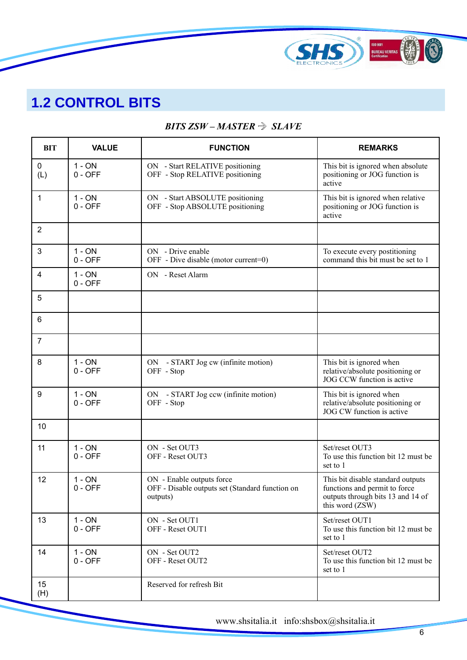

## **1.2 CONTROL BITS**

### *BITS ZSW – MASTER SLAVE*

| <b>BIT</b>         | <b>VALUE</b>          | <b>FUNCTION</b>                                                                          | <b>REMARKS</b>                                                                                                             |
|--------------------|-----------------------|------------------------------------------------------------------------------------------|----------------------------------------------------------------------------------------------------------------------------|
| $\mathbf 0$<br>(L) | $1 - ON$<br>$0 - OFF$ | ON - Start RELATIVE positioning<br>OFF - Stop RELATIVE positioning                       | This bit is ignored when absolute<br>positioning or JOG function is<br>active                                              |
| $\mathbf{1}$       | $1 - ON$<br>$0 - OFF$ | ON - Start ABSOLUTE positioning<br>OFF - Stop ABSOLUTE positioning                       | This bit is ignored when relative<br>positioning or JOG function is<br>active                                              |
| $\overline{2}$     |                       |                                                                                          |                                                                                                                            |
| 3                  | $1 - ON$<br>$0 - OFF$ | ON - Drive enable<br>OFF - Dive disable (motor current=0)                                | To execute every postitioning<br>command this bit must be set to 1                                                         |
| 4                  | $1 - ON$<br>$0 - OFF$ | ON - Reset Alarm                                                                         |                                                                                                                            |
| 5                  |                       |                                                                                          |                                                                                                                            |
| 6                  |                       |                                                                                          |                                                                                                                            |
| $\overline{7}$     |                       |                                                                                          |                                                                                                                            |
| 8                  | $1 - ON$<br>$0 - OFF$ | ON - START Jog cw (infinite motion)<br>OFF - Stop                                        | This bit is ignored when<br>relative/absolute positioning or<br>JOG CCW function is active                                 |
| 9                  | $1 - ON$<br>$0 - OFF$ | ON - START Jog ccw (infinite motion)<br>OFF - Stop                                       | This bit is ignored when<br>relative/absolute positioning or<br>JOG CW function is active                                  |
| 10                 |                       |                                                                                          |                                                                                                                            |
| 11                 | $1 - ON$<br>$0 - OFF$ | ON - Set OUT3<br>OFF - Reset OUT3                                                        | Set/reset OUT3<br>To use this function bit 12 must be<br>set to 1                                                          |
| 12                 | $1 - ON$<br>$0 - OFF$ | ON - Enable outputs force<br>OFF - Disable outputs set (Standard function on<br>outputs) | This bit disable standard outputs<br>functions and permit to force<br>outputs through bits 13 and 14 of<br>this word (ZSW) |
| 13                 | $1 - ON$<br>$0 - OFF$ | ON - Set OUT1<br>OFF - Reset OUT1                                                        | Set/reset OUT1<br>To use this function bit 12 must be<br>set to 1                                                          |
| 14                 | $1 - ON$<br>$0 - OFF$ | ON - Set OUT2<br>OFF - Reset OUT2                                                        | Set/reset OUT2<br>To use this function bit 12 must be<br>set to 1                                                          |
| 15<br>(H)          |                       | Reserved for refresh Bit                                                                 |                                                                                                                            |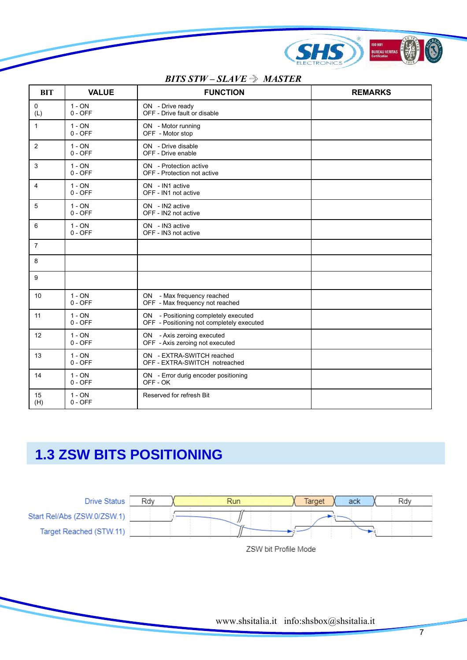

### *BITS STW – SLAVE*  $\Rightarrow$  *MASTER*

| <b>BIT</b>     | <b>VALUE</b>          | <b>FUNCTION</b>                                                                   | <b>REMARKS</b> |
|----------------|-----------------------|-----------------------------------------------------------------------------------|----------------|
| 0<br>(L)       | $1 - ON$<br>$0 - OFF$ | ON - Drive ready<br>OFF - Drive fault or disable                                  |                |
| 1              | $1 - ON$<br>$0 - OFF$ | ON - Motor running<br>OFF - Motor stop                                            |                |
| $\overline{2}$ | $1 - ON$<br>$0 - OFF$ | ON - Drive disable<br>OFF - Drive enable                                          |                |
| 3              | $1 - ON$<br>$0 - OFF$ | ON - Protection active<br>OFF - Protection not active                             |                |
| 4              | $1 - ON$<br>$0 - OFF$ | ON - IN1 active<br>OFF - IN1 not active                                           |                |
| 5              | $1 - ON$<br>$0 - OFF$ | ON - IN2 active<br>OFF - IN2 not active                                           |                |
| 6              | $1 - ON$<br>$0 - OFF$ | ON - IN3 active<br>OFF - IN3 not active                                           |                |
| $\overline{7}$ |                       |                                                                                   |                |
| 8              |                       |                                                                                   |                |
| 9              |                       |                                                                                   |                |
| 10             | $1 - ON$<br>$0 - OFF$ | ON - Max frequency reached<br>OFF - Max frequency not reached                     |                |
| 11             | $1 - ON$<br>$0 - OFF$ | ON - Positioning completely executed<br>OFF - Positioning not completely executed |                |
| 12             | $1 - ON$<br>$0 - OFF$ | ON - Axis zeroing executed<br>OFF - Axis zeroing not executed                     |                |
| 13             | $1 - ON$<br>$0 - OFF$ | ON - EXTRA-SWITCH reached<br>OFF - EXTRA-SWITCH notreached                        |                |
| 14             | $1 - ON$<br>$0 - OFF$ | ON - Error durig encoder positioning<br>OFF-OK                                    |                |
| 15<br>(H)      | $1 - ON$<br>$0 - OFF$ | Reserved for refresh Bit                                                          |                |

# **1.3 ZSW BITS POSITIONING**



ZSW bit Profile Mode

7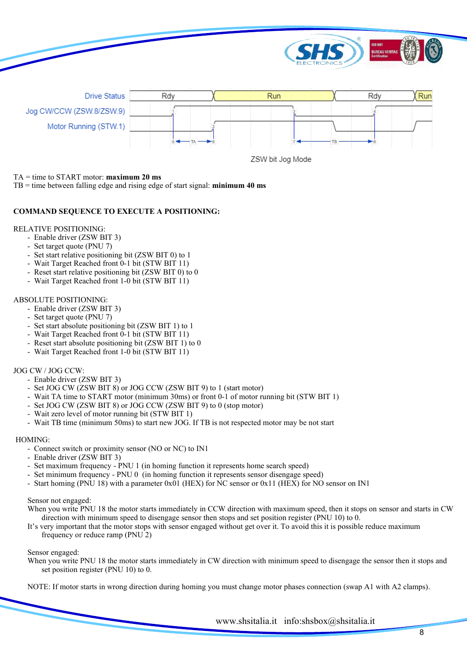

#### TA = time to START motor: **maximum 20 ms**

TB = time between falling edge and rising edge of start signal: **minimum 40 ms**

#### **COMMAND SEQUENCE TO EXECUTE A POSITIONING:**

#### RELATIVE POSITIONING:

- Enable driver (ZSW BIT 3)
- Set target quote (PNU 7)
- Set start relative positioning bit (ZSW BIT 0) to 1
- Wait Target Reached front 0-1 bit (STW BIT 11)
- Reset start relative positioning bit (ZSW BIT 0) to 0
- Wait Target Reached front 1-0 bit (STW BIT 11)

#### ABSOLUTE POSITIONING:

- Enable driver (ZSW BIT 3)
- Set target quote (PNU 7)
- Set start absolute positioning bit (ZSW BIT 1) to 1
- Wait Target Reached front 0-1 bit (STW BIT 11)
- Reset start absolute positioning bit (ZSW BIT 1) to 0
- Wait Target Reached front 1-0 bit (STW BIT 11)

#### JOG CW / JOG CCW:

- Enable driver (ZSW BIT 3)
- Set JOG CW (ZSW BIT 8) or JOG CCW (ZSW BIT 9) to 1 (start motor)
- Wait TA time to START motor (minimum 30ms) or front 0-1 of motor running bit (STW BIT 1)
- Set JOG CW (ZSW BIT 8) or JOG CCW (ZSW BIT 9) to 0 (stop motor)
- Wait zero level of motor running bit (STW BIT 1)
- Wait TB time (minimum 50ms) to start new JOG. If TB is not respected motor may be not start

#### HOMING:

- Connect switch or proximity sensor (NO or NC) to IN1
- Enable driver (ZSW BIT 3)
- Set maximum frequency PNU 1 (in homing function it represents home search speed)
- Set minimum frequency PNU 0 (in homing function it represents sensor disengage speed)
- Start homing (PNU 18) with a parameter 0x01 (HEX) for NC sensor or 0x11 (HEX) for NO sensor on IN1

#### Sensor not engaged:

When you write PNU 18 the motor starts immediately in CCW direction with maximum speed, then it stops on sensor and starts in CW direction with minimum speed to disengage sensor then stops and set position register (PNU 10) to 0.

It's very important that the motor stops with sensor engaged without get over it. To avoid this it is possible reduce maximum frequency or reduce ramp (PNU 2)

#### Sensor engaged:

When you write PNU 18 the motor starts immediately in CW direction with minimum speed to disengage the sensor then it stops and set position register (PNU 10) to 0.

NOTE: If motor starts in wrong direction during homing you must change motor phases connection (swap A1 with A2 clamps).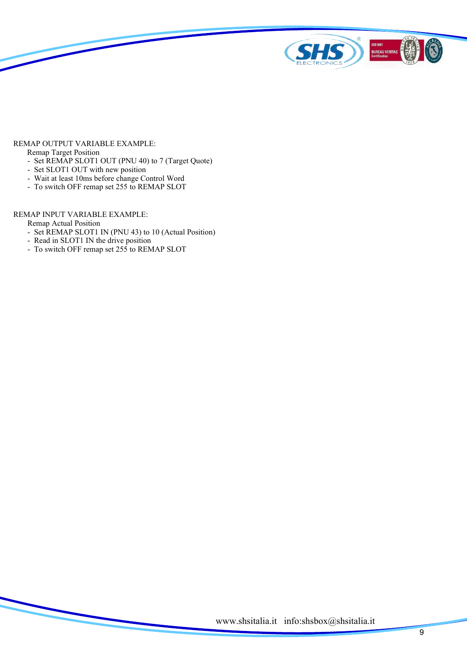

#### REMAP OUTPUT VARIABLE EXAMPLE:

Remap Target Position

- Set REMAP SLOT1 OUT (PNU 40) to 7 (Target Quote)
- Set SLOT1 OUT with new position
- Wait at least 10ms before change Control Word
- To switch OFF remap set 255 to REMAP SLOT

#### REMAP INPUT VARIABLE EXAMPLE:

Remap Actual Position

- Set REMAP SLOT1 IN (PNU 43) to 10 (Actual Position)
- Read in SLOT1 IN the drive position
- To switch OFF remap set 255 to REMAP SLOT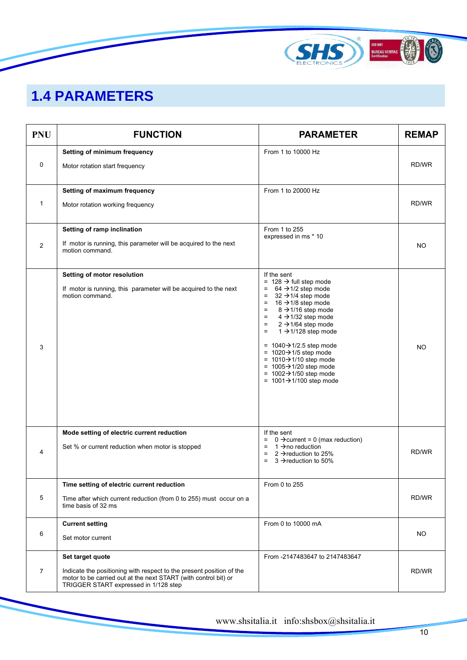

## **1.4 PARAMETERS**

| <b>PNU</b>     | <b>FUNCTION</b>                                                                                                                                                                                      | <b>PARAMETER</b>                                                                                                                                                                                                                                                                                                                                                                                                                                                                                                                                                                          | <b>REMAP</b> |
|----------------|------------------------------------------------------------------------------------------------------------------------------------------------------------------------------------------------------|-------------------------------------------------------------------------------------------------------------------------------------------------------------------------------------------------------------------------------------------------------------------------------------------------------------------------------------------------------------------------------------------------------------------------------------------------------------------------------------------------------------------------------------------------------------------------------------------|--------------|
| $\mathbf 0$    | Setting of minimum frequency<br>Motor rotation start frequency                                                                                                                                       | From 1 to 10000 Hz                                                                                                                                                                                                                                                                                                                                                                                                                                                                                                                                                                        | RD/WR        |
| 1              | Setting of maximum frequency<br>Motor rotation working frequency                                                                                                                                     | From 1 to 20000 Hz                                                                                                                                                                                                                                                                                                                                                                                                                                                                                                                                                                        | RD/WR        |
| 2              | Setting of ramp inclination<br>If motor is running, this parameter will be acquired to the next<br>motion command.                                                                                   | From 1 to 255<br>expressed in ms * 10                                                                                                                                                                                                                                                                                                                                                                                                                                                                                                                                                     | NO.          |
| 3              | Setting of motor resolution<br>If motor is running, this parameter will be acquired to the next<br>motion command.                                                                                   | If the sent<br>= $128 \rightarrow$ full step mode<br>$= 64 \rightarrow 1/2$ step mode<br>$=$ 32 $\rightarrow$ 1/4 step mode<br>16 $\rightarrow$ 1/8 step mode<br>$=$<br>8 $\rightarrow$ 1/16 step mode<br>$=$<br>$4 \rightarrow 1/32$ step mode<br>$\equiv$<br>$2 \rightarrow 1/64$ step mode<br>$=$<br>$1 \rightarrow 1/128$ step mode<br>$=$<br>= $1040 \rightarrow 1/2.5$ step mode<br>= $1020 \rightarrow 1/5$ step mode<br>= $1010 \rightarrow 1/10$ step mode<br>= $1005 \rightarrow 1/20$ step mode<br>= $1002 \rightarrow 1/50$ step mode<br>= $1001 \rightarrow 1/100$ step mode | NO.          |
| 4              | Mode setting of electric current reduction<br>Set % or current reduction when motor is stopped                                                                                                       | If the sent<br>$= 0 \rightarrow$ current = 0 (max reduction)<br>$= 1 \rightarrow$ no reduction<br>2 $\rightarrow$ reduction to 25%<br>$\equiv$<br>$\equiv$<br>$3 \rightarrow$ reduction to 50%                                                                                                                                                                                                                                                                                                                                                                                            | RD/WR        |
| 5              | Time setting of electric current reduction<br>Time after which current reduction (from 0 to 255) must occur on a<br>time basis of 32 ms                                                              | From 0 to 255                                                                                                                                                                                                                                                                                                                                                                                                                                                                                                                                                                             | RD/WR        |
| 6              | <b>Current setting</b><br>Set motor current                                                                                                                                                          | From 0 to 10000 mA                                                                                                                                                                                                                                                                                                                                                                                                                                                                                                                                                                        | NO.          |
| $\overline{7}$ | Set target quote<br>Indicate the positioning with respect to the present position of the<br>motor to be carried out at the next START (with control bit) or<br>TRIGGER START expressed in 1/128 step | From -2147483647 to 2147483647                                                                                                                                                                                                                                                                                                                                                                                                                                                                                                                                                            | RD/WR        |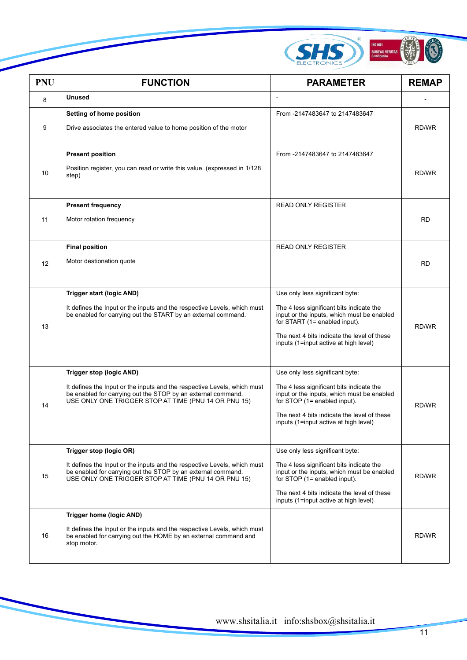

| <b>PNU</b> | <b>FUNCTION</b>                                                                                                                                                                                                              | <b>PARAMETER</b>                                                                                                                                                                                                                                   | <b>REMAP</b> |
|------------|------------------------------------------------------------------------------------------------------------------------------------------------------------------------------------------------------------------------------|----------------------------------------------------------------------------------------------------------------------------------------------------------------------------------------------------------------------------------------------------|--------------|
| 8          | <b>Unused</b>                                                                                                                                                                                                                | $\overline{a}$                                                                                                                                                                                                                                     |              |
| 9          | Setting of home position<br>Drive associates the entered value to home position of the motor                                                                                                                                 | From -2147483647 to 2147483647                                                                                                                                                                                                                     | RD/WR        |
| 10         | <b>Present position</b><br>Position register, you can read or write this value. (expressed in 1/128)<br>step)                                                                                                                | From -2147483647 to 2147483647                                                                                                                                                                                                                     | RD/WR        |
| 11         | <b>Present frequency</b><br>Motor rotation frequency                                                                                                                                                                         | <b>READ ONLY REGISTER</b>                                                                                                                                                                                                                          | <b>RD</b>    |
| 12         | <b>Final position</b><br>Motor destionation quote                                                                                                                                                                            | <b>READ ONLY REGISTER</b>                                                                                                                                                                                                                          | <b>RD</b>    |
| 13         | Trigger start (logic AND)<br>It defines the Input or the inputs and the respective Levels, which must<br>be enabled for carrying out the START by an external command.                                                       | Use only less significant byte:<br>The 4 less significant bits indicate the<br>input or the inputs, which must be enabled<br>for START (1= enabled input).<br>The next 4 bits indicate the level of these<br>inputs (1=input active at high level) | RD/WR        |
| 14         | Trigger stop (logic AND)<br>It defines the Input or the inputs and the respective Levels, which must<br>be enabled for carrying out the STOP by an external command.<br>USE ONLY ONE TRIGGER STOP AT TIME (PNU 14 OR PNU 15) | Use only less significant byte:<br>The 4 less significant bits indicate the<br>input or the inputs, which must be enabled<br>for STOP (1= enabled input).<br>The next 4 bits indicate the level of these<br>inputs (1=input active at high level)  | RD/WR        |
| 15         | Trigger stop (logic OR)<br>It defines the Input or the inputs and the respective Levels, which must<br>be enabled for carrying out the STOP by an external command.<br>USE ONLY ONE TRIGGER STOP AT TIME (PNU 14 OR PNU 15)  | Use only less significant byte:<br>The 4 less significant bits indicate the<br>input or the inputs, which must be enabled<br>for STOP (1= enabled input).<br>The next 4 bits indicate the level of these<br>inputs (1=input active at high level)  | RD/WR        |
| 16         | <b>Trigger home (logic AND)</b><br>It defines the Input or the inputs and the respective Levels, which must<br>be enabled for carrying out the HOME by an external command and<br>stop motor.                                |                                                                                                                                                                                                                                                    | RD/WR        |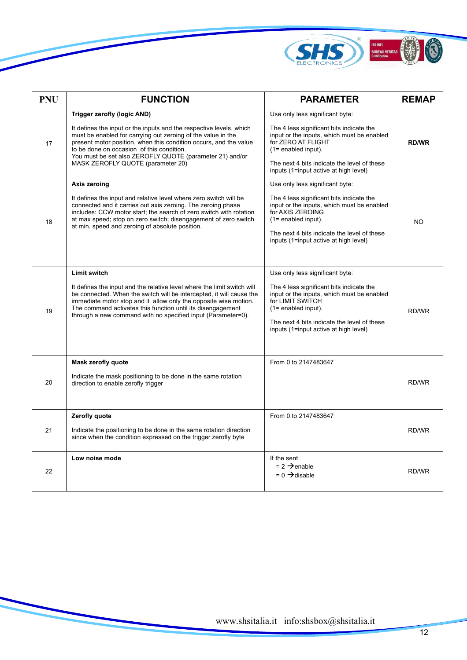

| <b>PNU</b> | <b>FUNCTION</b>                                                                                                                                                                                                                                                                                                                                                                              | <b>PARAMETER</b>                                                                                                                                                                                                                                                 | <b>REMAP</b> |
|------------|----------------------------------------------------------------------------------------------------------------------------------------------------------------------------------------------------------------------------------------------------------------------------------------------------------------------------------------------------------------------------------------------|------------------------------------------------------------------------------------------------------------------------------------------------------------------------------------------------------------------------------------------------------------------|--------------|
| 17         | <b>Trigger zerofly (logic AND)</b><br>It defines the input or the inputs and the respective levels, which<br>must be enabled for carrying out zeroing of the value in the<br>present motor position, when this condition occurs, and the value<br>to be done on occasion of this condition.<br>You must be set also ZEROFLY QUOTE (parameter 21) and/or<br>MASK ZEROFLY QUOTE (parameter 20) | Use only less significant byte:<br>The 4 less significant bits indicate the<br>input or the inputs, which must be enabled<br>for ZERO AT FLIGHT<br>$(1=$ enabled input).<br>The next 4 bits indicate the level of these<br>inputs (1=input active at high level) | <b>RD/WR</b> |
| 18         | Axis zeroing<br>It defines the input and relative level where zero switch will be<br>connected and it carries out axis zeroing. The zeroing phase<br>includes: CCW motor start; the search of zero switch with rotation<br>at max speed; stop on zero switch; disengagement of zero switch<br>at min. speed and zeroing of absolute position.                                                | Use only less significant byte:<br>The 4 less significant bits indicate the<br>input or the inputs, which must be enabled<br>for AXIS ZEROING<br>$(1=$ enabled input).<br>The next 4 bits indicate the level of these<br>inputs (1=input active at high level)   | <b>NO</b>    |
| 19         | <b>Limit switch</b><br>It defines the input and the relative level where the limit switch will<br>be connected. When the switch will be intercepted, it will cause the<br>immediate motor stop and it allow only the opposite wise motion.<br>The command activates this function until its disengagement<br>through a new command with no specified input (Parameter=0).                    | Use only less significant byte:<br>The 4 less significant bits indicate the<br>input or the inputs, which must be enabled<br>for LIMIT SWITCH<br>$(1=$ enabled input).<br>The next 4 bits indicate the level of these<br>inputs (1=input active at high level)   | RD/WR        |
| 20         | Mask zerofly quote<br>Indicate the mask positioning to be done in the same rotation<br>direction to enable zerofly trigger                                                                                                                                                                                                                                                                   | From 0 to 2147483647                                                                                                                                                                                                                                             | RD/WR        |
| 21         | Zerofly quote<br>Indicate the positioning to be done in the same rotation direction<br>since when the condition expressed on the trigger zerofly byte                                                                                                                                                                                                                                        | From 0 to 2147483647                                                                                                                                                                                                                                             | RD/WR        |
| 22         | Low noise mode                                                                                                                                                                                                                                                                                                                                                                               | If the sent<br>$= 2 \rightarrow$ enable<br>$= 0 \rightarrow$ disable                                                                                                                                                                                             | RD/WR        |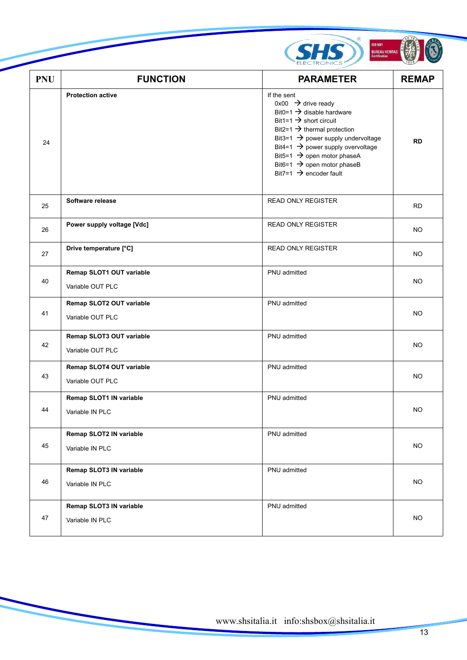

| <b>PNU</b> | <b>FUNCTION</b>                              | <b>PARAMETER</b>                                                                                                                                                                                                                                                                                                                                                                                     | <b>REMAP</b> |
|------------|----------------------------------------------|------------------------------------------------------------------------------------------------------------------------------------------------------------------------------------------------------------------------------------------------------------------------------------------------------------------------------------------------------------------------------------------------------|--------------|
| 24         | <b>Protection active</b>                     | If the sent<br>$0x00 \rightarrow$ drive ready<br>Bit0=1 $\rightarrow$ disable hardware<br>Bit1=1 $\rightarrow$ short circuit<br>Bit2=1 $\rightarrow$ thermal protection<br>Bit3=1 $\rightarrow$ power supply undervoltage<br>Bit4=1 $\rightarrow$ power supply overvoltage<br>Bit5=1 $\rightarrow$ open motor phaseA<br>Bit6=1 $\rightarrow$ open motor phaseB<br>Bit7=1 $\rightarrow$ encoder fault | <b>RD</b>    |
| 25         | Software release                             | <b>READ ONLY REGISTER</b>                                                                                                                                                                                                                                                                                                                                                                            | <b>RD</b>    |
| 26         | Power supply voltage [Vdc]                   | <b>READ ONLY REGISTER</b>                                                                                                                                                                                                                                                                                                                                                                            | <b>NO</b>    |
| 27         | Drive temperature [°C]                       | <b>READ ONLY REGISTER</b>                                                                                                                                                                                                                                                                                                                                                                            | <b>NO</b>    |
| 40         | Remap SLOT1 OUT variable<br>Variable OUT PLC | PNU admitted                                                                                                                                                                                                                                                                                                                                                                                         | NO.          |
| 41         | Remap SLOT2 OUT variable<br>Variable OUT PLC | PNU admitted                                                                                                                                                                                                                                                                                                                                                                                         | <b>NO</b>    |
| 42         | Remap SLOT3 OUT variable<br>Variable OUT PLC | PNU admitted                                                                                                                                                                                                                                                                                                                                                                                         | <b>NO</b>    |
| 43         | Remap SLOT4 OUT variable<br>Variable OUT PLC | PNU admitted                                                                                                                                                                                                                                                                                                                                                                                         | <b>NO</b>    |
| 44         | Remap SLOT1 IN variable<br>Variable IN PLC   | PNU admitted                                                                                                                                                                                                                                                                                                                                                                                         | NO           |
| 45         | Remap SLOT2 IN variable<br>Variable IN PLC   | PNU admitted                                                                                                                                                                                                                                                                                                                                                                                         | NO           |
| 46         | Remap SLOT3 IN variable<br>Variable IN PLC   | PNU admitted                                                                                                                                                                                                                                                                                                                                                                                         | <b>NO</b>    |
| 47         | Remap SLOT3 IN variable<br>Variable IN PLC   | PNU admitted                                                                                                                                                                                                                                                                                                                                                                                         | NO.          |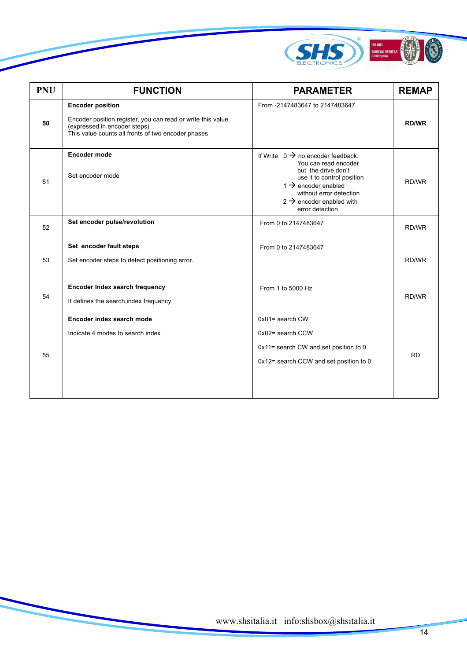

| <b>PNU</b> | <b>FUNCTION</b>                                                                                                                                                               | <b>PARAMETER</b>                                                                                                                                                                                                                                    | <b>REMAP</b> |
|------------|-------------------------------------------------------------------------------------------------------------------------------------------------------------------------------|-----------------------------------------------------------------------------------------------------------------------------------------------------------------------------------------------------------------------------------------------------|--------------|
| 50         | <b>Encoder position</b><br>Encoder position register, you can read or write this value.<br>(expressed in encoder steps)<br>This value counts all fronts of two encoder phases | From -2147483647 to 2147483647                                                                                                                                                                                                                      | <b>RD/WR</b> |
| 51         | <b>Encoder mode</b><br>Set encoder mode                                                                                                                                       | If Write $0 \rightarrow$ no encoder feedback.<br>You can read encoder<br>but the drive don't<br>use it to control position<br>1 $\rightarrow$ encoder enabled<br>without error detection<br>$2 \rightarrow$ encoder enabled with<br>error detection | RD/WR        |
| 52         | Set encoder pulse/revolution                                                                                                                                                  | From 0 to 2147483647                                                                                                                                                                                                                                | RD/WR        |
| 53         | Set encoder fault steps<br>Set encoder steps to detect positioning error.                                                                                                     | From 0 to 2147483647                                                                                                                                                                                                                                | RD/WR        |
| 54         | Encoder Index search frequency<br>It defines the search index frequency                                                                                                       | From 1 to 5000 Hz                                                                                                                                                                                                                                   | RD/WR        |
| 55         | Encoder index search mode<br>Indicate 4 modes to search index                                                                                                                 | $0x01 =$ search CW<br>0x02= search CCW<br>0x11= search CW and set position to 0<br>0x12= search CCW and set position to 0                                                                                                                           | <b>RD</b>    |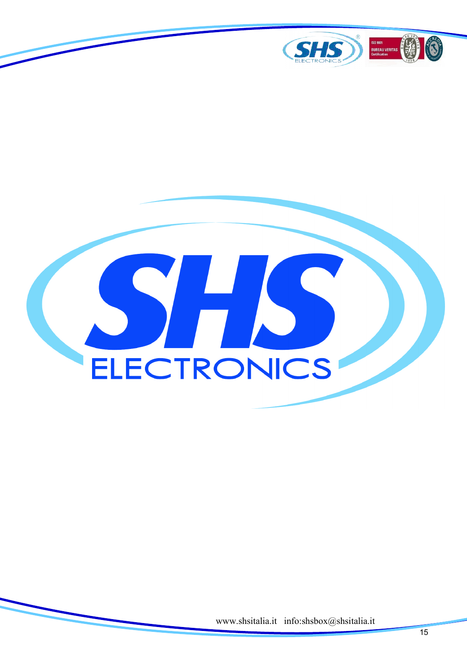